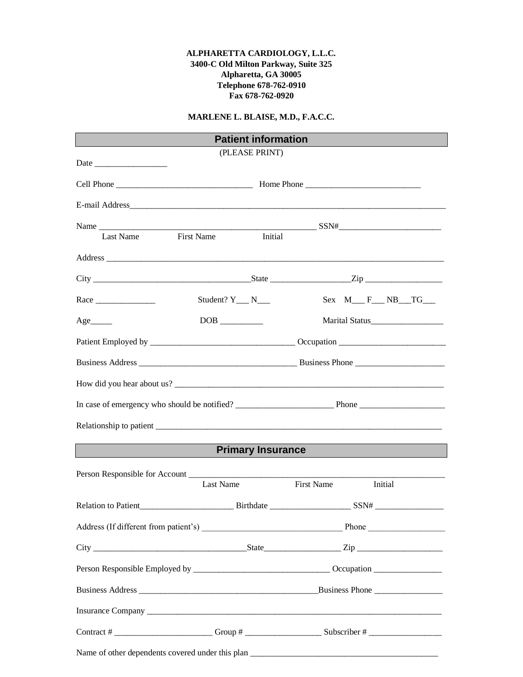### **ALPHARETTA CARDIOLOGY, L.L.C. 3400-C Old Milton Parkway, Suite 325 Alpharetta, GA 30005 Telephone 678-762-0910 Fax 678-762-0920**

## **MARLENE L. BLAISE, M.D., F.A.C.C.**

|                                                                                                                                                                                                                                                                                                                                         | <b>Patient information</b>     |                   |                           |
|-----------------------------------------------------------------------------------------------------------------------------------------------------------------------------------------------------------------------------------------------------------------------------------------------------------------------------------------|--------------------------------|-------------------|---------------------------|
| Date $\frac{1}{\sqrt{1-\frac{1}{2}}\left\lceil \frac{1}{2}\right\rceil}$                                                                                                                                                                                                                                                                | (PLEASE PRINT)                 |                   |                           |
|                                                                                                                                                                                                                                                                                                                                         |                                |                   |                           |
|                                                                                                                                                                                                                                                                                                                                         |                                |                   |                           |
| Last Name First Name Initial                                                                                                                                                                                                                                                                                                            |                                |                   |                           |
|                                                                                                                                                                                                                                                                                                                                         |                                |                   |                           |
|                                                                                                                                                                                                                                                                                                                                         |                                |                   |                           |
|                                                                                                                                                                                                                                                                                                                                         | Student? $Y_{\_\_\_N}$ N______ |                   | $Sex M _ F _ N B _ T G _$ |
| $Age$ <sub>________</sub>                                                                                                                                                                                                                                                                                                               |                                |                   |                           |
|                                                                                                                                                                                                                                                                                                                                         |                                |                   |                           |
|                                                                                                                                                                                                                                                                                                                                         |                                |                   |                           |
| How did you hear about us?                                                                                                                                                                                                                                                                                                              |                                |                   |                           |
|                                                                                                                                                                                                                                                                                                                                         |                                |                   |                           |
|                                                                                                                                                                                                                                                                                                                                         |                                |                   |                           |
|                                                                                                                                                                                                                                                                                                                                         |                                |                   | Primary Insurance         |
|                                                                                                                                                                                                                                                                                                                                         |                                |                   |                           |
|                                                                                                                                                                                                                                                                                                                                         | Last Name                      | <b>First Name</b> | Initial                   |
|                                                                                                                                                                                                                                                                                                                                         |                                |                   |                           |
|                                                                                                                                                                                                                                                                                                                                         |                                |                   |                           |
| $City$ $\rule{1em}{0.15mm}$ $\rule{1em}{0.15mm}$ $\qquad$ $\qquad$ $\qquad$ $\qquad$ $\qquad$ $\qquad$ $\qquad$ $\qquad$ $\qquad$ $\qquad$ $\qquad$ $\qquad$ $\qquad$ $\qquad$ $\qquad$ $\qquad$ $\qquad$ $\qquad$ $\qquad$ $\qquad$ $\qquad$ $\qquad$ $\qquad$ $\qquad$ $\qquad$ $\qquad$ $\qquad$ $\qquad$ $\qquad$ $\qquad$ $\qquad$ |                                |                   |                           |
|                                                                                                                                                                                                                                                                                                                                         |                                |                   |                           |
|                                                                                                                                                                                                                                                                                                                                         |                                |                   |                           |
|                                                                                                                                                                                                                                                                                                                                         |                                |                   |                           |
|                                                                                                                                                                                                                                                                                                                                         |                                |                   |                           |
|                                                                                                                                                                                                                                                                                                                                         |                                |                   |                           |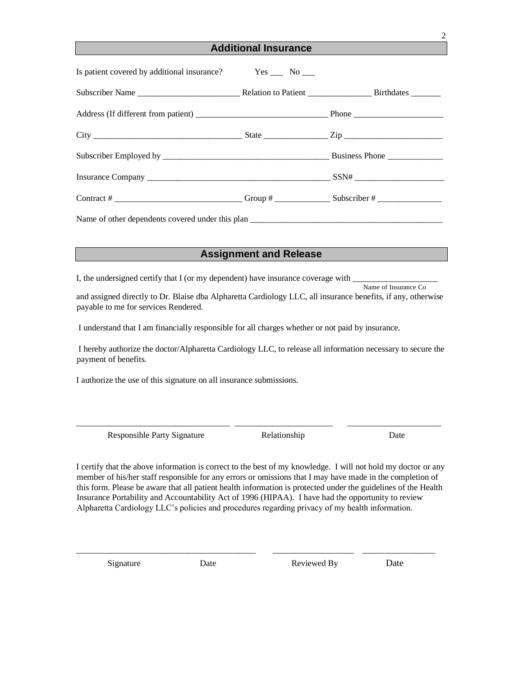## **Additional Insurance**

| Is patient covered by additional insurance? Yes __ No __ |  |
|----------------------------------------------------------|--|
|                                                          |  |
|                                                          |  |
|                                                          |  |
|                                                          |  |
|                                                          |  |
|                                                          |  |
|                                                          |  |

### **Assignment and Release**

I, the undersigned certify that I (or my dependent) have insurance coverage with

Name of Insurance Co

and assigned directly to Dr. Blaise dba Alpharetta Cardiology LLC, all insurance benefits, if any, otherwise payable to me for services Rendered.

I understand that I am financially responsible for all charges whether or not paid by insurance.

I hereby authorize the doctor/Alpharetta Cardiology LLC, to release all information necessary to secure the payment of benefits.

I authorize the use of this signature on all insurance submissions.

Responsible Party Signature Relationship Date

I certify that the above information is correct to the best of my knowledge. I will not hold my doctor or any member of his/her staff responsible for any errors or omissions that I may have made in the completion of this form. Please be aware that all patient health information is protected under the guidelines of the Health Insurance Portability and Accountability Act of 1996 (HIPAA). I have had the opportunity to review Alpharetta Cardiology LLC's policies and procedures regarding privacy of my health information.

\_\_\_\_\_\_\_\_\_\_\_\_\_\_\_\_\_\_\_\_\_\_\_\_\_\_\_\_\_\_\_\_\_\_\_\_\_\_\_\_\_\_ \_\_\_\_\_\_\_\_\_\_\_\_\_\_\_\_\_\_\_ \_\_\_\_\_\_\_\_\_\_\_\_\_\_\_\_\_

\_\_\_\_\_\_\_\_\_\_\_\_\_\_\_\_\_\_\_\_\_\_\_\_\_\_\_\_\_\_\_\_\_\_\_\_ \_\_\_\_\_\_\_\_\_\_\_\_\_\_\_\_\_\_\_\_\_\_\_ \_\_\_\_\_\_\_\_\_\_\_\_\_\_\_\_\_\_\_\_\_\_

Signature Date Date Reviewed By Date

2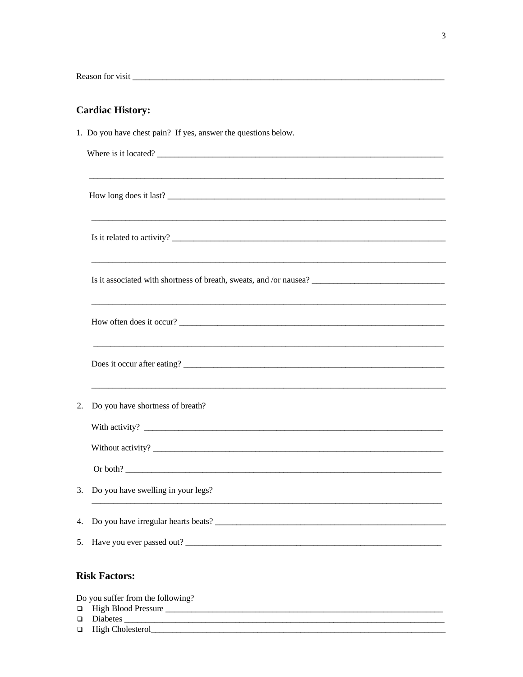# **Cardiac History:**

|    | 1. Do you have chest pain? If yes, answer the questions below.                                                     |
|----|--------------------------------------------------------------------------------------------------------------------|
|    | Where is it located?                                                                                               |
|    |                                                                                                                    |
|    | How long does it last?                                                                                             |
|    |                                                                                                                    |
|    | Is it related to activity?                                                                                         |
|    |                                                                                                                    |
|    |                                                                                                                    |
|    |                                                                                                                    |
|    |                                                                                                                    |
|    | How often does it occur?                                                                                           |
|    | <u> 1989 - Jan James James James James James James James James James James James James James James James James</u> |
|    | Does it occur after eating?                                                                                        |
|    |                                                                                                                    |
| 2. | Do you have shortness of breath?                                                                                   |
|    |                                                                                                                    |
|    |                                                                                                                    |
|    |                                                                                                                    |
| 3. | Do you have swelling in your legs?                                                                                 |
|    |                                                                                                                    |
|    |                                                                                                                    |
|    | 5. Have you ever passed out?                                                                                       |
|    |                                                                                                                    |
|    | <b>Risk Factors:</b>                                                                                               |

Do you suffer from the following?

- $\Box$  High Blood Pressure
- 
- □ Diabetes International Contract of High Cholesterol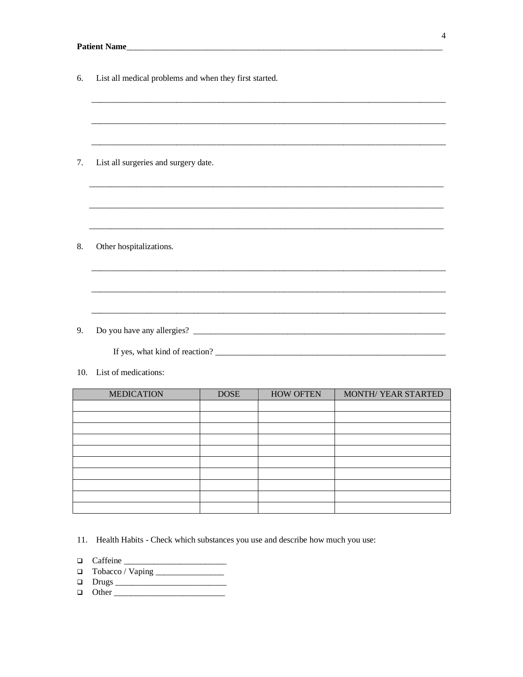| 6.  | List all medical problems and when they first started. |
|-----|--------------------------------------------------------|
|     |                                                        |
|     |                                                        |
| 7.  | List all surgeries and surgery date.                   |
|     |                                                        |
|     |                                                        |
| 8.  | Other hospitalizations.                                |
|     |                                                        |
|     |                                                        |
| 9.  |                                                        |
|     |                                                        |
| 10. | List of medications:                                   |

| <b>MEDICATION</b> | <b>DOSE</b> | <b>HOW OFTEN</b> | MONTH/ YEAR STARTED |
|-------------------|-------------|------------------|---------------------|
|                   |             |                  |                     |
|                   |             |                  |                     |
|                   |             |                  |                     |
|                   |             |                  |                     |
|                   |             |                  |                     |
|                   |             |                  |                     |
|                   |             |                  |                     |
|                   |             |                  |                     |
|                   |             |                  |                     |
|                   |             |                  |                     |

- 11. Health Habits Check which substances you use and describe how much you use:
- $\Box$  Caffeine
- 
- 
-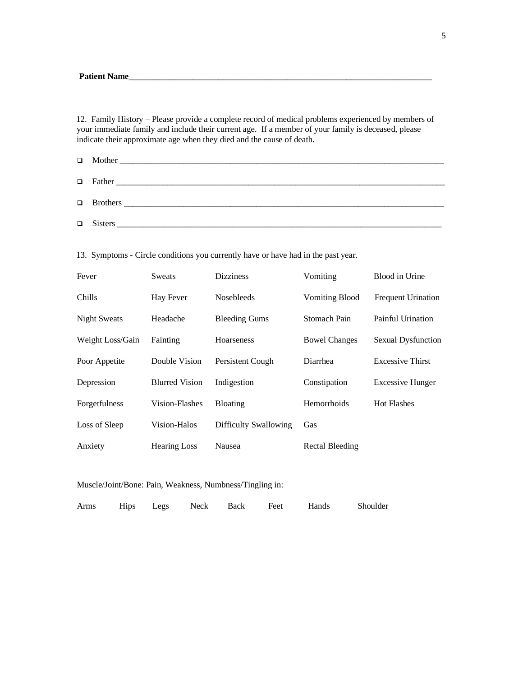12. Family History – Please provide a complete record of medical problems experienced by members of your immediate family and include their current age. If a member of your family is deceased, please indicate their approximate age when they died and the cause of death.

| Fever                | <b>Sweats</b>         | <b>Dizziness</b>      | Vomiting              | Blood in Urine            |
|----------------------|-----------------------|-----------------------|-----------------------|---------------------------|
| <b>Chills</b>        | Hay Fever             | <b>Nosebleeds</b>     | <b>Vomiting Blood</b> | <b>Frequent Urination</b> |
| <b>Night Sweats</b>  | Headache              | <b>Bleeding Gums</b>  | Stomach Pain          | Painful Urination         |
| Weight Loss/Gain     | Fainting              | Hoarseness            | <b>Bowel Changes</b>  | Sexual Dysfunction        |
| Poor Appetite        | Double Vision         | Persistent Cough      | Diarrhea              | <b>Excessive Thirst</b>   |
| Depression           | <b>Blurred Vision</b> | Indigestion           | Constipation          | <b>Excessive Hunger</b>   |
| <b>Forgetfulness</b> | Vision-Flashes        | <b>Bloating</b>       | <b>Hemorrhoids</b>    | <b>Hot Flashes</b>        |
| Loss of Sleep        | Vision-Halos          | Difficulty Swallowing | Gas                   |                           |
| Anxiety              | <b>Hearing Loss</b>   | Nausea                | Rectal Bleeding       |                           |

13. Symptoms - Circle conditions you currently have or have had in the past year.

#### Muscle/Joint/Bone: Pain, Weakness, Numbness/Tingling in:

| Arms |  |  |  |  | Hips Legs Neck Back Feet | Hands | Shoulder |
|------|--|--|--|--|--------------------------|-------|----------|
|------|--|--|--|--|--------------------------|-------|----------|